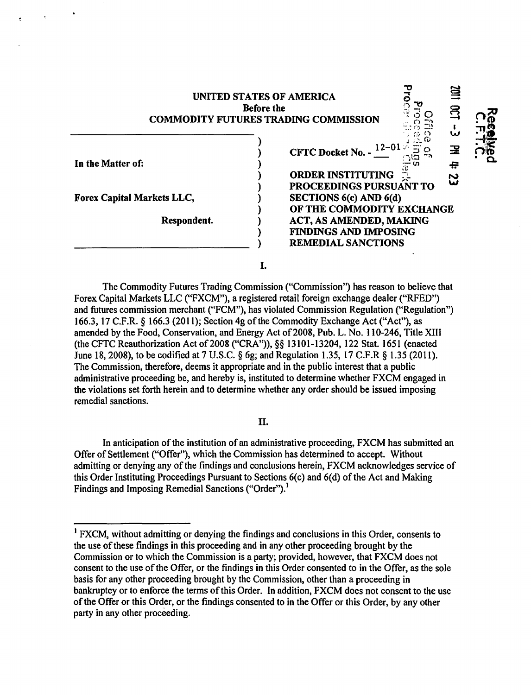| UNITED STATES OF AMERICA<br><b>Before the</b><br><b>COMMODITY FUTURES TRADING COMMISSION</b> |  |                                                                                                                                                    | w   |   |
|----------------------------------------------------------------------------------------------|--|----------------------------------------------------------------------------------------------------------------------------------------------------|-----|---|
| In the Matter of:                                                                            |  | CFTC Docket No. - $12-01$<br><b>ORDER INSTITUTING</b><br><b>PROCEEDINGS PURSUANT TO</b>                                                            | ပ္မ | Ω |
| Forex Capital Markets LLC,<br>Respondent.                                                    |  | <b>SECTIONS 6(c) AND 6(d)</b><br>OF THE COMMODITY EXCHANGE<br>ACT, AS AMENDED, MAKING<br><b>FINDINGS AND IMPOSING</b><br><b>REMEDIAL SANCTIONS</b> |     |   |
|                                                                                              |  |                                                                                                                                                    |     |   |

The Commodity Futures Trading Commission ("Commission") has reason to believe that Forex Capital Markets LLC ("FXCM"), a registered retail foreign exchange dealer ("RFED") and futures commission merchant ("FCM"), has violated Commission Regulation ("Regulation") 166.3, 17 C.F.R. § 166.3 (2011); Section 4g ofthe Commodity Exchange Act ("Act"), as amended by the Food, Conservation, and Energy Act of 2008, Pub. L. No. 110-246, Title XIII (the CFTC Reauthorization Act of 2008 ("CRA")), §§ 13101-13204, 122 Stat. 1651 (enacted June 18, 2008), to be codified at 7 U.S.C. § 6g; and Regulation 1.35, 17 C.F.R § 1.35 (2011). The Commission, therefore, deems it appropriate and in the public interest that a public administrative proceeding be, and hereby is, instituted to determine whether FXCM engaged in the violations set forth herein and to determine whether any order should be issued imposing remedial sanctions.

II.

In anticipation of the institution of an administrative proceeding, FXCM has submitted an Offer of Settlement ("Offer"), which the Commission has determined to accept. Without admitting or denying any of the findings and conclusions herein, FXCM acknowledges service of this Order Instituting Proceedings Pursuant to Sections 6(c) and 6(d) of the Act and Making Findings and Imposing Remedial Sanctions ("Order").<sup>1</sup>

<sup>&</sup>lt;sup>1</sup> FXCM, without admitting or denying the findings and conclusions in this Order, consents to the use of these findings in this proceeding and in any other proceeding brought by the Commission or to which the Commission is a party; provided, however, that FXCM does not consent to the use of the Offer, or the findings in this Order consented to in the Offer, as the sole basis for any other proceeding brought by the Commission, other than a proceeding in bankruptcy or to enforce the terms of this Order. In addition, FXCM does not consent to the use ofthe Offer or this Order, or the findings consented to in the Offer or this Order, by any other party in any other proceeding.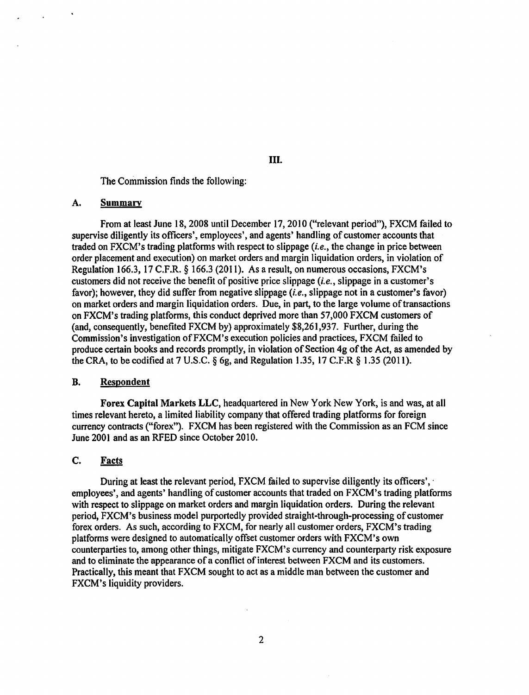The Commission finds the following:

## A. Summary

From at least June 18,2008 until December 17,2010 ("relevant period"), FXCM failed to supervise diligently its officers', employees', and agents' handling of customer accounts that traded on FXCM's trading platforms with respect to slippage (i.e., the change in price between order placement and execution) on market orders and margin liquidation orders, in violation of Regulation 166.3, 17 C.F.R. § 166.3 (2011). As a result, on numerous occasions, FXCM's customers did not receive the benefit of positive price slippage (i.e., slippage in a customer's favor); however, they did suffer from negative slippage  $(i.e.,$  slippage not in a customer's favor) on market orders and margin liquidation orders. Due, in part, to the large volume of transactions on FXCM's trading platforms, this conduct deprived more than 57,000 FXCM customers of (and, consequently, benefited FXCM by) approximately \$8,261,937. Further, during the Commission's investigation ofFXCM's execution policies and practices, FXCM failed to produce certain books and records promptly, in violation of Section 4g of the Act, as amended by the CRA, to be codified at  $7$  U.S.C.  $\S$  6g, and Regulation 1.35, 17 C.F.R  $\S$  1.35 (2011).

### B. Respondent

Forex Capital Markets LLC, headquartered in New York New York, is and was, at all times relevant hereto, a limited liability company that offered trading platforms for foreign currency contracts ("forex"). FXCM has been registered with the Commission as an FCM since June 2001 and as an RFED since October 2010.

# C. Facts

During at least the relevant period, FXCM failed to supervise diligently its officers', employees', and agents' handling of customer accounts that traded on FXCM's trading platforms with respect to slippage on market orders and margin liquidation orders. During the relevant period, FXCM's business model purportedly provided straight-through-processing of customer forex orders. As such, according to FXCM, for nearly all customer orders, FXCM's trading platforms were designed to automatically offset customer orders with FXCM's own counterparties to, among other things, mitigate FXCM's currency and counterparty risk exposure and to eliminate the appearance of a conflict of interest between FXCM and its customers. Practically, this meant that FXCM sought to act as a middle man between the customer and FXCM's liquidity providers.

# Ill.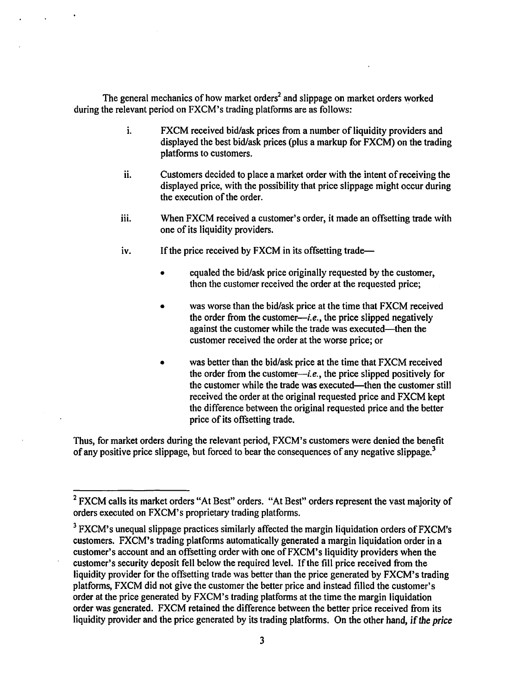The general mechanics of how market orders<sup>2</sup> and slippage on market orders worked during the relevant period on FXCM's trading platforms are as follows:

- 1. FXCM received bid/ask prices from a number of liquidity providers and displayed the best bid/ask prices (plus a markup for FXCM) on the trading platforms to customers.
- ii. Customers decided to place a market order with the intent of receiving the displayed price, with the possibility that price slippage might occur during the execution of the order.
- iii. When FXCM received a customer's order, it made an offsetting trade with one of its liquidity providers.
- iv. If the price received by FXCM in its offsetting trade-
	- equaled the bid/ask price originally requested by the customer, then the customer received the order at the requested price;
	- was worse than the bid/ask price at the time that FXCM received the order from the customer—*i.e.*, the price slipped negatively against the customer while the trade was executed—then the customer received the order at the worse price; or
	- was better than the bid/ask price at the time that FXCM received the order from the customer—*i.e.*, the price slipped positively for the customer while the trade was executed-then the customer still received the order at the original requested price and FXCM kept the difference between the original requested price and the better price of its offsetting trade.

Thus, for market orders during the relevant period, FXCM's customers were denied the benefit of any positive price slippage, but forced to bear the consequences of any negative slippage.<sup>3</sup>

<sup>&</sup>lt;sup>2</sup> FXCM calls its market orders "At Best" orders. "At Best" orders represent the vast majority of orders executed on FXCM' s proprietary trading platforms.

<sup>&</sup>lt;sup>3</sup> FXCM's unequal slippage practices similarly affected the margin liquidation orders of FXCM's customers. FXCM's trading platforms automatically generated a margin liquidation order in a customer's account and an offsetting order with one ofFXCM's liquidity providers when the customer's security deposit fell below the required level. If the fill price received from the liquidity provider for the offsetting trade was better than the price generated by FXCM's trading platforms, FXCM did not give the customer the better price and instead filled the customer's order at the price generated by FXCM's trading platforms at the time the margin liquidation order was generated. FXCM retained the difference between the better price received from its liquidity provider and the price generated by its trading platforms. On the other hand, if *the price*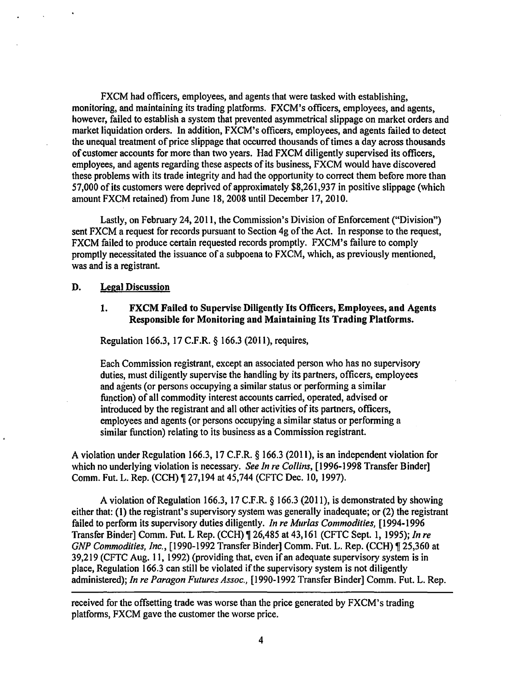FXCM had officers, employees, and agents that were tasked with establishing, monitoring, and maintaining its trading platforms. FXCM's officers, employees, and agents, however, failed to establish a system that prevented asymmetrical slippage on market orders and market liquidation orders. In addition, FXCM's officers, employees, and agents failed to detect the unequal treatment of price slippage that occurred thousands oftimes a day across thousands of customer accounts for more than two years. Had FXCM diligently supervised its officers, employees, and agents regarding these aspects of its business, FXCM would have discovered these problems with its trade integrity and had the opportunity to correct them before more than 57,000 of its customers were deprived of approximately \$8,261,937 in positive slippage (which amount FXCM retained) from June 18,2008 until December 17,2010.

Lastly, on February 24, 2011, the Commission's Division of Enforcement ("Division") sent FXCM a request for records pursuant to Section 4g of the Act. In response to the request, FXCM failed to produce certain requested records promptly. FXCM's failure to comply promptly necessitated the issuance of a subpoena to FXCM, which, as previously mentioned, was and is a registrant.

# D. Legal Discussion

## 1. FXCM Failed to Supervise Diligently Its Officers, Employees, and Agents Responsible for Monitoring and Maintaining Its Trading Platforms.

Regulation 166.3, 17 C.F.R. § 166.3 (2011), requires,

Each Commission registrant, except an associated person who has no supervisory duties, must diligently supervise the handling by its partners, officers, employees and agents (or persons occupying a similar status or performing a similar function) of all commodity interest accounts carried, operated, advised or introduced by the registrant and all other activities of its partners, officers, employees and agents (or persons occupying a similar status or performing a similar function) relating to its business as a Commission registrant.

A violation under Regulation 166.3, 17 C.F.R. § 166.3 (2011), is an independent violation for which no underlying violation is necessary. *See In re Collins,* [1996-1998 Transfer Binder] Comm. Fut. L. Rep. (CCH)  $\P$  27,194 at 45,744 (CFTC Dec. 10, 1997).

A violation ofRegulation 166.3, 17 C.F.R. § 166.3 (2011), is demonstrated by showing either that: (1) the registrant's supervisory system was generally inadequate; or (2) the registrant failed to perform its supervisory duties diligently. *In re Murlas Commodities,* [1994-1996 Transfer Binder] Comm. Fut. L Rep. (CCH) ¶ 26,485 at 43,161 (CFTC Sept. 1, 1995); *In re GNP Commodities, Inc.*, [1990-1992 Transfer Binder] Comm. Fut. L. Rep. (CCH) ¶ 25,360 at 39,219 (CFTC Aug. 11, 1992) (providing that, even if an adequate supervisory system is in place, Regulation 166.3 can still be violated if the supervisory system is not diligently administered); *In re Paragon Futures Assoc.,* (1990-1992 Transfer Binder] Comm. Fut. L. Rep.

received for the offsetting trade was worse than the price generated by FXCM's trading platforms, FXCM gave the customer the worse price.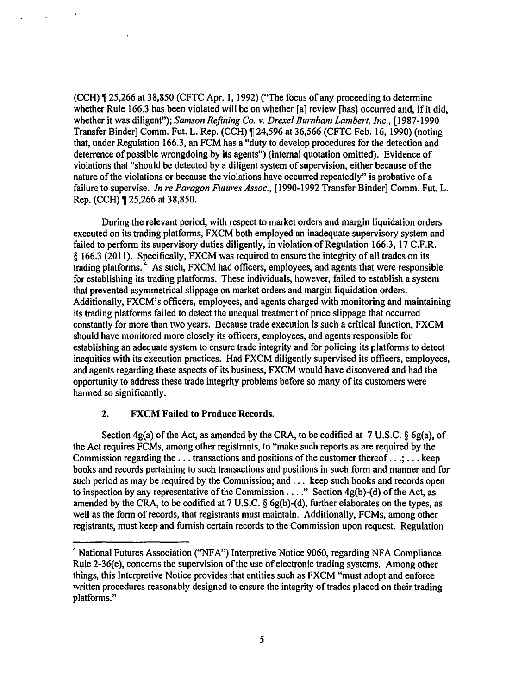$(CCH)$  , 25,266 at 38,850 (CFTC Apr. 1, 1992) ("The focus of any proceeding to determine whether Rule 166.3 has been violated will be on whether [a] review [has] occurred and, if it did, whether it was diligent"); *Samson Refining Co. v. Drexel Burnham Lambert, Inc.,* [1987-1990 Transfer Binder] Comm. Fut. L. Rep. (CCH), 24,596 at 36,566 (CFTC Feb. 16, 1990) (noting that, under Regulation 166.3, an FCM has a "duty to develop procedures for the detection and deterrence of possible wrongdoing by its agents") (internal quotation omitted). Evidence of violations that "should be detected by a diligent system of supervision, either because of the nature of the violations or because the violations have occurred repeatedly" is probative of a failure to supervise. *In re Paragon Futures Assoc.,* [1990-1992 Transfer Binder] Comm. Fut. L. Rep. (CCH) ¶ 25,266 at 38,850.

During the relevant period, with respect to market orders and margin liquidation orders executed on its trading platforms, FXCM both employed an inadequate supervisory system and failed to perform its supervisory duties diligently, in violation of Regulation 166.3, 17 C.F.R. § 166.3 (2011). Specifically, FXCM was required to ensure the integrity of all trades on its trading platforms.<sup>4</sup> As such, FXCM had officers, employees, and agents that were responsible for establishing its trading platforms. These individuals, however, failed to establish a system that prevented asymmetrical slippage on market orders and margin liquidation orders. Additionally, FXCM's officers, employees, and agents charged with monitoring and maintaining its trading platforms failed to detect the unequal treatment of price slippage that occurred constantly for more than two years. Because trade execution is such a critical function, FXCM should have monitored more closely its officers, employees, and agents responsible for establishing an adequate system to ensure trade integrity and for policing its platforms to detect inequities with its execution practices. Had FXCM diligently supervised its officers, employees, and agents regarding these aspects of its business, FXCM would have discovered and had the opportunity to address these trade integrity problems before so many of its customers were harmed so significantly.

## 2. FXCM Failed to Produce Records.

Section 4g(a) of the Act, as amended by the CRA, to be codified at 7 U.S.C. § 6g(a), of the Act requires FCMs, among other registrants, to "make such reports as are required by the Commission regarding the  $\dots$  transactions and positions of the customer thereof  $\dots$ ;  $\dots$  keep books and records pertaining to such transactions and positions in such form and manner and for such period as may be required by the Commission; and ... keep such books and records open to inspection by any representative of the Commission . . . ." Section 4g(b)-(d) of the Act, as amended by the CRA, to be codified at 7 U.S.C. § 6g(b)-(d), further elaborates on the types, as well as the form of records, that registrants must maintain. Additionally, FCMs, among other registrants, must keep and furnish certain records to the Commission upon request. Regulation

<sup>&</sup>lt;sup>4</sup> National Futures Association ("NFA") Interpretive Notice 9060, regarding NFA Compliance Rule 2-36(e), concerns the supervision of the use of electronic trading systems. Among other things, this Interpretive Notice provides that entities such as FXCM "must adopt and enforce written procedures reasonably designed to ensure the integrity of trades placed on their trading platforms."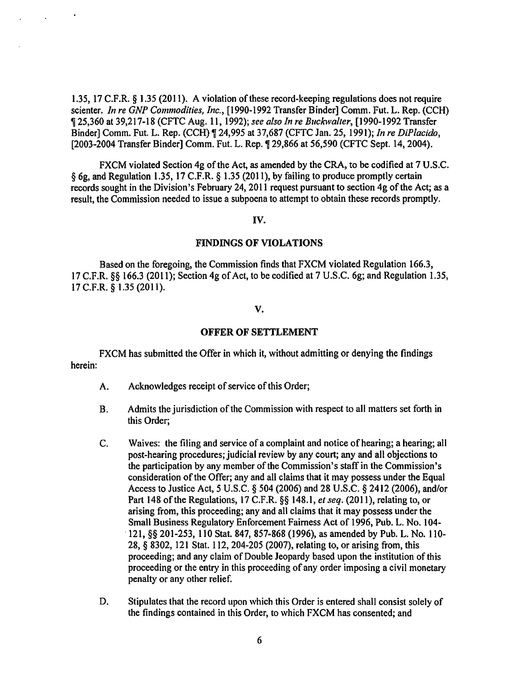1.35, 17 C.F.R. § 1.35 (2011). A violation of these record-keeping regulations does not require scienter. *In re GNP Commodities, Inc.,* [1990-1992 Transfer Binder] Comm. Fut. L. Rep. (CCH) <sup>~</sup>25,360 at 39,217-18 (CFTC Aug. 11, 1992); *see also In re Buckwalter,* (1990-1992 Transfer Binder] Comm. Fut. L. Rep. (CCH) ¶ 24,995 at 37,687 (CFTC Jan. 25, 1991); *In re DiPlacido*, [2003-2004 Transfer Binder] Comm. Fut. L. Rep. ¶ 29,866 at 56,590 (CFTC Sept. 14, 2004).

FXCM violated Section 4g of the Act, as amended by the CRA, to be codified at 7 U.S.C. § 6g, and Regulation 1.35, 17 C.F.R. § 1.35 (2011), by failing to produce promptly certain records sought in the Division's February 24, 2011 request pursuant to section 4g of the Act; as a result, the Commission needed to issue a subpoena to attempt to obtain these records promptly.

### IV.

## FINDINGS OF VIOLATIONS

Based on the foregoing, the Commission finds that FXCM violated Regulation 166.3, 17 C.F.R. §§ 166.3 (2011); Section 4g of Act, to be codified at 7 U.S.C. 6g; and Regulation 1.35, 17 C.F.R. § 1.35 (2011).

### v.

#### OFFER OF SETTLEMENT

FXCM has submitted the Offer in which it, without admitting or denying the findings herein:

- A. Acknowledges receipt of service of this Order;
- B. Admits the jurisdiction of the Commission with respect to all matters set forth in this Order;
- C. Waives: the filing and service of a complaint and notice of hearing; a hearing; all post-hearing procedures; judicial review by any court; any and all objections to the participation by any member of the Commission's staff in the Commission's consideration of the Offer; any and all claims that it may possess under the Equal Access to Justice Act, 5 U.S.C. § 504 (2006) and 28 U.S.C. § 2412 (2006), and/or Part 148 of the Regulations, 17 C.F.R. §§ 148.1, *et seq.* (2011), relating to, or arising from, this proceeding; any and all claims that it may possess under the Small Business Regulatory Enforcement Fairness Act of 1996, Pub. L. No. l 04- ·121, §§ 201-253, 110 Stat. 847, 857-868 (1996), as amended by Pub. L. No. 110- 28, § 8302, 121 Stat. 112, 204-205 (2007), relating to, or arising from, this proceeding; and any claim of Double Jeopardy based upon the institution of this proceeding or the entry in this proceeding of any order imposing a civil monetary penalty or any other relief.
- D. Stipulates that the record upon which this Order is entered shall consist solely of the findings contained in this Order, to which FXCM has consented; and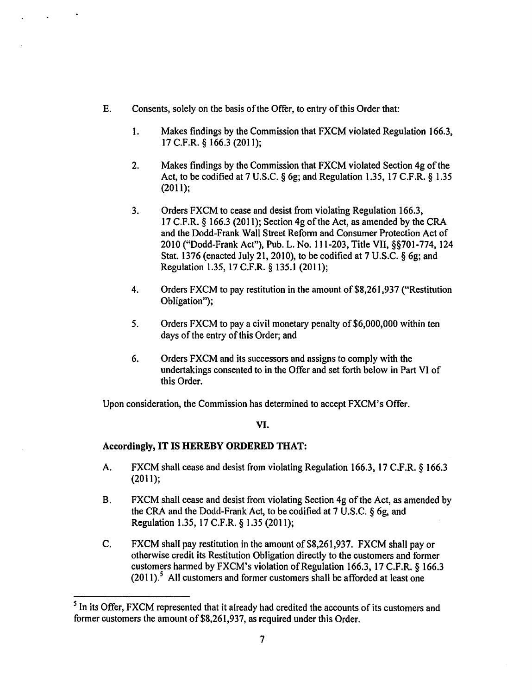- E. Consents, solely on the basis of the Offer, to entry of this Order that:
	- 1. Makes findings by the Commission that FXCM violated Regulation 166.3, 17 C.F.R. § 166.3 (2011);
	- 2. Makes findings by the Commission that FXCM violated Section 4g of the Act, to be codified at 7 U.S.C.  $\S$  6g; and Regulation 1.35, 17 C.F.R.  $\S$  1.35 (2011);
	- 3. Orders FXCM to cease and desist from violating Regulation 166.3, 17 C.F.R. § 166.3 (2011); Section 4g of the Act, as amended by the CRA and the Dodd-Frank Wall Street Reform and Consumer Protection Act of 2010 ("Dodd-Frank Act"), Pub. L. No. 111-203, Title VII, §§701-774, 124 Stat. 1376 (enacted July 21, 2010), to be codified at 7 U.S.C. § 6g; and Regulation 1.35, 17 C.F.R. § 135.1 (2011);
	- 4. Orders FXCM to pay restitution in the amount of \$8,261,937 ("Restitution Obligation");
	- 5. Orders FXCM to pay a civil monetary penalty of \$6,000,000 within ten days of the entry of this Order; and
	- 6. Orders FXCM and its successors and assigns to comply with the undertakings consented to in the Offer and set forth below in Part VI of this Order.

Upon consideration, the Commission has determined to accept FXCM's Offer.

## VI.

# Accordingly, IT IS HEREBY ORDERED THAT:

- A. FXCM shall cease and desist from violating Regulation 166.3, 17 C.F.R. § 166.3 (2011);
- B. FXCM shall cease and desist from violating Section 4g of the Act, as amended by the CRA and the Dodd-Frank Act, to be codified at 7 U.S.C. § 6g, and Regulation 1.35, 17 C.F.R. § 1.35 (2011);
- C. FXCM shall pay restitution in the amount of\$8,261,937. FXCM shall pay or otherwise credit its Restitution Obligation directly to the customers and former customers harmed by FXCM's violation of Regulation 166.3, 17 C.F.R. § 166.3  $(2011).$ <sup>5</sup> All customers and former customers shall be afforded at least one

<sup>&</sup>lt;sup>5</sup> In its Offer, FXCM represented that it already had credited the accounts of its customers and former customers the amount of \$8,261,937, as required under this Order.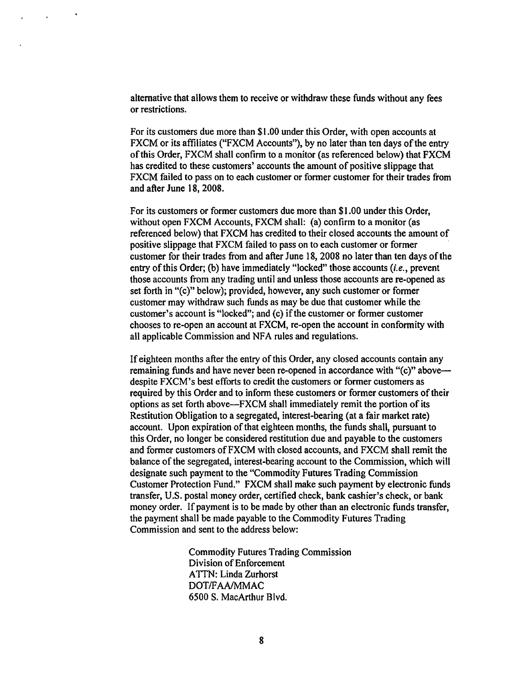alternative that allows them to receive or withdraw these funds without any fees or restrictions.

For its customers due more than \$1.00 under this Order, with open accounts at FXCM or its affiliates ("FXCM Accounts"), by no later than ten days of the entry of this Order, FXCM shall confirm to a monitor (as referenced below) that FXCM has credited to these customers' accounts the amount of positive slippage that FXCM failed to pass on to each customer or former customer for their trades from and after June 18, 2008.

For its customers or former customers due more than \$1.00 under this Order, without open FXCM Accounts, FXCM shall: (a) confirm to a monitor (as referenced below) that FXCM has credited to their closed accounts the amount of positive slippage that FXCM failed to pass on to each customer or former customer for their trades from and after June 18, 2008 no later than ten days of the entry of this Order; (b) have immediately "locked" those accounts  $(i.e.,$  prevent those accounts from any trading until and unless those accounts are re-opened as set forth in "(c)" below); provided, however, any such customer or former customer may withdraw such funds as may be due that customer while the customer's account is "locked"; and (c) if the customer or former customer chooses to re-open an account at FXCM, re-open the account in conformity with all applicable Commission and NFA rules and regulations.

If eighteen months after the entry of this Order, any closed accounts contain any remaining funds and have never been re-opened in accordance with "(c)" above despite FXCM's best efforts to credit the customers or former customers as required by this Order and to inform these customers or former customers of their options as set forth above-FXCM shall immediately remit the portion of its Restitution Obligation to a segregated, interest-bearing (at a fair market rate) account. Upon expiration of that eighteen months, the funds shall, pursuant to this Order, no longer be considered restitution due and payable to the customers and former customers ofFXCM with closed accounts, and FXCM shall remit the balance of the segregated, interest-bearing account to the Commission, which will designate such payment to the "Commodity Futures Trading Commission Customer Protection Fund." FXCM shall make such payment by electronic funds transfer, U.S. postal money order, certified check, bank cashier's check, or bank money order. If payment is to be made by other than an electronic funds transfer, the payment shall be made payable to the Commodity Futures Trading Commission and sent to the address below:

> Commodity Futures Trading Commission Division of Enforcement **ATTN: Linda Zurhorst** DOT/FAA/MMAC 6500 S. MacArthur Blvd.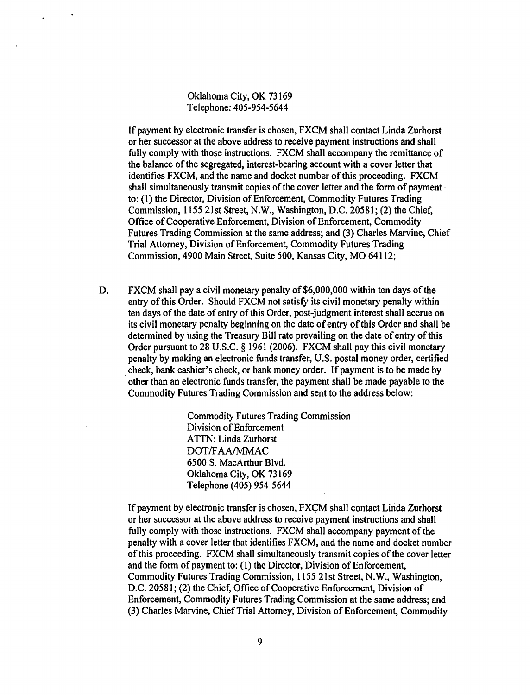Oklahoma City, OK 73169 Telephone: 405-954-5644

If payment by electronic transfer is chosen, FXCM shall contact Linda Zurhorst or her successor at the above address to receive payment instructions and shall fully comply with those instructions. FXCM shall accompany the remittance of the balance of the segregated, interest-bearing account with a cover letter that identifies FXCM, and the name and docket number of this proceeding. FXCM shall simultaneously transmit copies of the cover letter and the form of payment· to: (1) the Director, Division of Enforcement, Commodity Futures Trading Commission, 1155 21st Street, N.W., Washington, D.C. 20581; (2) the Chief, Office of Cooperative Enforcement, Division of Enforcement, Commodity Futures Trading Commission at the same address; and (3) Charles Marvine, Chief Trial Attorney, Division of Enforcement, Commodity Futures Trading Commission, 4900 Main Street, Suite 500, Kansas City, MO 64112;

D. FXCM shall pay a civil monetary penalty of \$6,000,000 within ten days of the entry of this Order. Should FXCM not satisfy its civil monetary penalty within ten days of the date of entry of this Order, post-judgment interest shall accrue on its civil monetary penalty beginning on the date of entry of this Order and shall be determined by using the Treasury Bill rate prevailing on the date of entry of this Order pursuant to 28 U.S.C. § 1961 (2006). FXCM shall pay this civil monetary penalty by making an electronic funds transfer, U.S. postal money order, certified check, bank cashier's check, or bank money order. If payment is to be made by other than an electronic funds transfer, the payment shall be made payable to the Commodity Futures Trading Commission and sent to the address below:

> Commodity Futures Trading Commission Division of Enforcement ATTN: Linda Zurhorst DOT/FAA/MMAC 6500 S. MacArthur Blvd. Oklahoma City, OK 73169 Telephone (405) 954-5644

If payment by electronic transfer is chosen, FXCM shall contact Linda Zurhorst or her successor at the above address to receive payment instructions and shall fully comply with those instructions. FXCM shall accompany payment of the penalty with a cover letter that identifies FXCM, and the name and docket number of this proceeding. FXCM shall simultaneously transmit copies of the cover letter and the form of payment to: (I) the Director, Division of Enforcement, Commodity Futures Trading Commission, 1155 21st Street, N.W., Washington, D.C. 20581; (2) the Chief, Office of Cooperative Enforcement, Division of Enforcement, Commodity Futures Trading Commission at the same address; and (3) Charles Marvine, ChiefTrial Attorney, Division of Enforcement, Commodity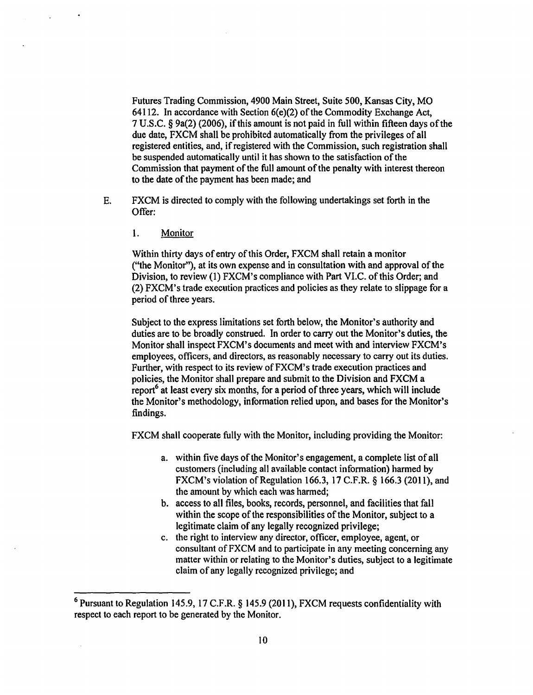Futures Trading Commission, 4900 Main Street, Suite 500, Kansas City, MO 64112. In accordance with Section  $6(e)(2)$  of the Commodity Exchange Act, 7 U.S.C. § 9a(2) (2006), ifthis amount is not paid in full within fifteen days of the due date, FXCM shall be prohibited automatically from the privileges of all registered entities, and, if registered with the Commission, such registration shall be suspended automatically until it has shown to the satisfaction of the Commission that payment of the full amount of the penalty with interest thereon to the date of the payment has been made; and

- E. FXCM is directed to comply with the following undertakings set forth in the Offer:
	- 1. Monitor

Within thirty days of entry of this Order, FXCM shall retain a monitor ("the Monitor"), at its own expense and in consultation with and approval of the Division, to review (1) FXCM's compliance with Part VI.C. of this Order; and (2) FXCM's trade execution practices and policies as they relate to slippage for a period of three years.

Subject to the express limitations set forth below, the Monitor's authority and duties are to be broadly construed. In order to carry out the Monitor's duties, the Monitor shall inspect FXCM's documents and meet with and interview FXCM's employees, officers, and directors, as reasonably necessary to carry out its duties. Further, with respect to its review of FXCM's trade execution practices and policies, the Monitor shall prepare and submit to the Division and FXCM a report<sup>6</sup> at least every six months, for a period of three years, which will include the Monitor's methodology, information relied upon, and bases for the Monitor's findings.

FXCM shall cooperate fully with the Monitor, including providing the Monitor:

- a. within five days of the Monitor's engagement, a complete list of all customers (including all available contact information) harmed by FXCM's violation of Regulation 166.3, 17 C.F.R.  $\S$  166.3 (2011), and the amount by which each was harmed;
- b. access to all files, books, records, personnel, and facilities that fall within the scope of the responsibilities of the Monitor, subject to a legitimate claim of any legally recognized privilege;
- c. the right to interview any director, officer, employee, agent, or consultant of FXCM and to participate in any meeting concerning any matter within or relating to the Monitor's duties, subject to a legitimate claim of any legally recognized privilege; and

<sup>6</sup> Pursuant to Regulation 145.9, 17 C.F.R. § 145.9 (2011), FXCM requests confidentiality with respect to each report to be generated by the Monitor.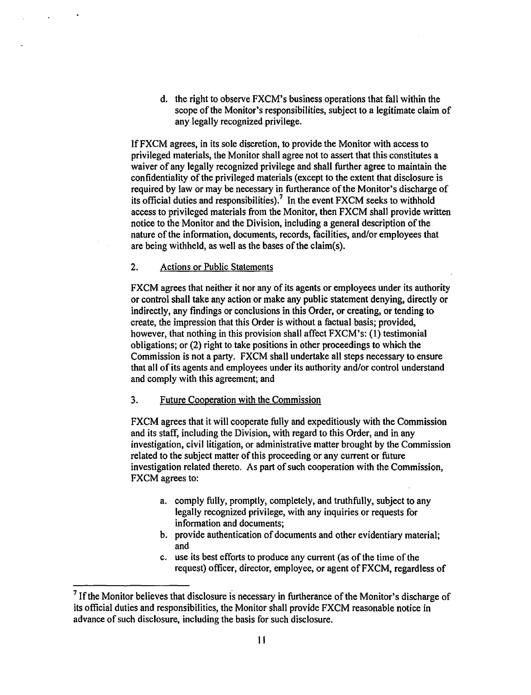d. the right to observe FXCM's business operations that fall within the scope of the Monitor's responsibilities, subject to a legitimate claim of any legally recognized privilege.

IfFXCM agrees, in its sole discretion, to provide the Monitor with access to privileged materials, the Monitor shall agree not to assert that this constitutes a waiver of any legally recognized privilege and shall further agree to maintain the confidentiality of the privileged materials (except to the extent that disclosure is required by law or may be necessary in furtherance of the Monitor's discharge of its official duties and responsibilities).<sup>7</sup> In the event FXCM seeks to withhold access to privileged materials from the Monitor, then FXCM shall provide written notice to the Monitor and the Division, including a general description of the nature of the information, documents, records, facilities, and/or employees that are being withheld, as well as the bases of the claim(s).

# 2. Actions or Public Statements

FXCM agrees that neither it nor any of its agents or employees under its authority or control shall take any action or make any public statement denying, directly or indirectly, any findings or conclusions in this Order, or creating, or tending to create, the impression that this Order is without a factual basis; provided, however, that nothing in this provision shall affect FXCM's: (1) testimonial obligations; or (2) right to take positions in other proceedings to which the Commission is not a party. FXCM shall undertake all steps necessary to ensure that all of its agents and employees under its authority and/or control understand and comply with this agreement; and

## 3. Future Cooperation with the Commission

FXCM agrees that it will cooperate fully and expeditiously with the Commission and its staff, including the Division, with regard to this Order, and in any investigation, civil litigation, or administrative matter brought by the Commission related to the subject matter of this proceeding or any current or future investigation related thereto. As part of such cooperation with the Commission, FXCM agrees to:

- a. comply fully, promptly, completely, and truthfully, subject to any legally recognized privilege, with any inquiries or requests for information and documents;
- b. provide authentication of documents and other evidentiary material; and
- c. use its best efforts to produce any current (as of the time of the request) officer, director, employee, or agent ofFXCM, regardless of

 $<sup>7</sup>$  If the Monitor believes that disclosure is necessary in furtherance of the Monitor's discharge of</sup> its official duties and responsibilities, the Monitor shall provide FXCM reasonable notice in advance of such disclosure, including the basis for such disclosure.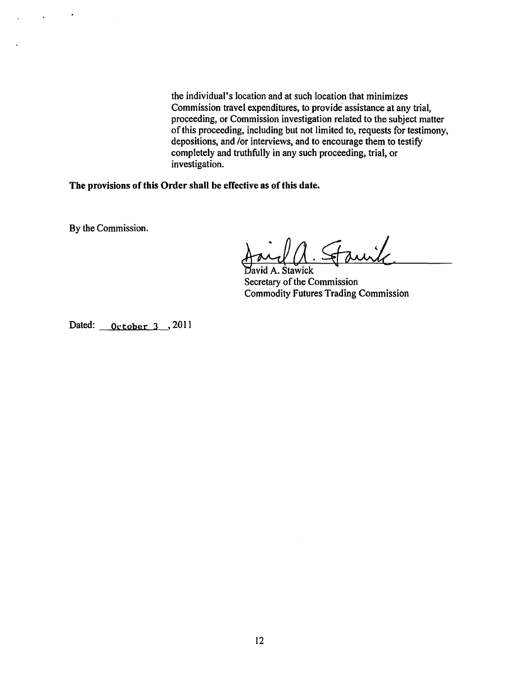the individual's location and at such location that minimizes Commission travel expenditures, to provide assistance at any trial, proceeding, or Commission investigation related to the subject matter of this proceeding, including but not limited to, requests for testimony, depositions, and /or interviews, and to encourage them to testify completely and truthfully in any such proceeding, trial, or investigation.

The provisions of this Order shall be effective as of this date.

By the Commission.

 $\bullet$ 

 $\Delta \sim 10^4$ 

M. Stauik

Secretary of the Commission Commodity Futures Trading Commission

Dated: <u>October 3</u>, 2011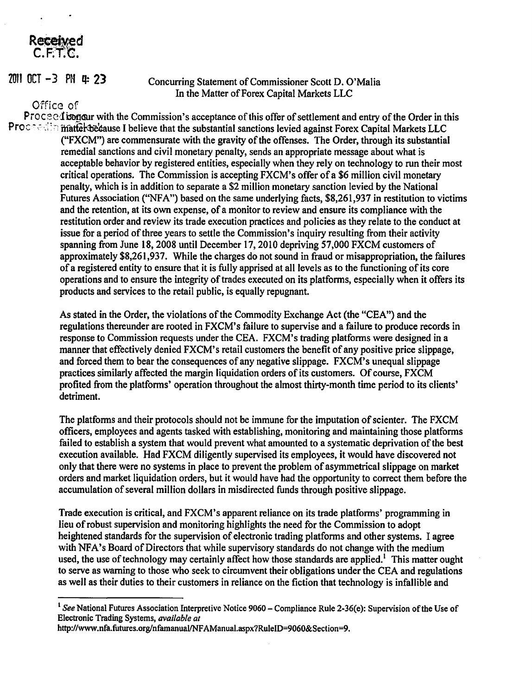# Received  $C.F.T.C.$

# $2011$  OCT  $-3$  PN  $4: 23$

# Concurring Statement of Commissioner Scott D. O'Malia In the Matter of Forex Capital Markets LLC

# Office of

Proceed is conservative that commission's acceptance of this offer of settlement and entry of the Order in this Processing matter belows I believe that the substantial sanctions levied against Forex Capital Markets LLC ("FXCM") are commensurate with the gravity of the offenses. The Order, through its substantial remedial sanctions and civil monetary penalty, sends an appropriate message about what is acceptable behavior by registered entities, especially when they rely on technology to run their most critical operations. The Commission is accepting FXCM's offer of a \$6 million civil monetary penalty, which is in addition to separate a \$2 million monetary sanction levied by the National Futures Association ("NFA") based on the same underlying facts, \$8,261,937 in restitution to victims and the retention, at its own expense, of a monitor to review and ensure its compliance with the restitution order and review its trade execution practices and policies as they relate to the conduct at issue for a period of three years to settle the Commission's inquiry resulting from their activity spanning from June 18, 2008 until December 17,2010 depriving 57,000 FXCM customers of approximately \$8,261,937. While the charges do not sound in fraud or misappropriation, the failures of a registered entity to ensure that it is fully apprised at all levels as to the functioning of its core operations and to ensure the integrity of trades executed on its platforms, especially when it offers its products and services to the retail public, is equally repugnant.

> As stated in the Order, the violations of the Commodity Exchange Act (the "CEA") and the regulations thereunder are rooted in FXCM's failure to supervise and a failure to produce records in response to Commission requests under the CEA. FXCM's trading platforms were designed in a manner that effectively denied FXCM's retail customers the benefit of any positive price slippage, and forced them to bear the consequences of any negative slippage. FXCM's unequal slippage practices similarly affected the margin liquidation orders of its customers. Of course, FXCM profited from the platforms' operation throughout the almost thirty-month time period to its clients' detriment.

The platfonns and their protocols should not be immune for the imputation of scienter. The FXCM officers, employees and agents tasked with establishing, monitoring and maintaining those platforms failed to establish a system that would prevent what amounted to a systematic deprivation of the best execution available. Had FXCM diligently supervised its employees, it would have discovered not only that there were no systems in place to prevent the problem of asymmetrical slippage on market orders and market liquidation orders, but it would have had the opportunity to correct them before the accumulation of several million dollars in misdirected funds through positive slippage.

Trade execution is critical, and FXCM's apparent reliance on its trade platforms' programming in lieu of robust supervision and monitoring highlights the need for the Commission to adopt heightened standards for the supervision of electronic trading platforms and other systems. I agree with NFA's Board of Directors that while supervisory standards do not change with the medium used, the use of technology may certainly affect how those standards are applied.<sup>1</sup> This matter ought to serve as warning to those who seek to circumvent their obligations under the CEA and regulations as well as their duties to their customers in reliance on the fiction that technology is infallible and

<sup>&</sup>lt;sup>1</sup> See National Futures Association Interpretive Notice 9060 – Compliance Rule 2-36(e): Supervision of the Use of Electronic Trading Systems, *available at* 

http://www.nfa.futures.org/nfamanual/NFAManual.aspx?RuleiD=9060&Section=9.